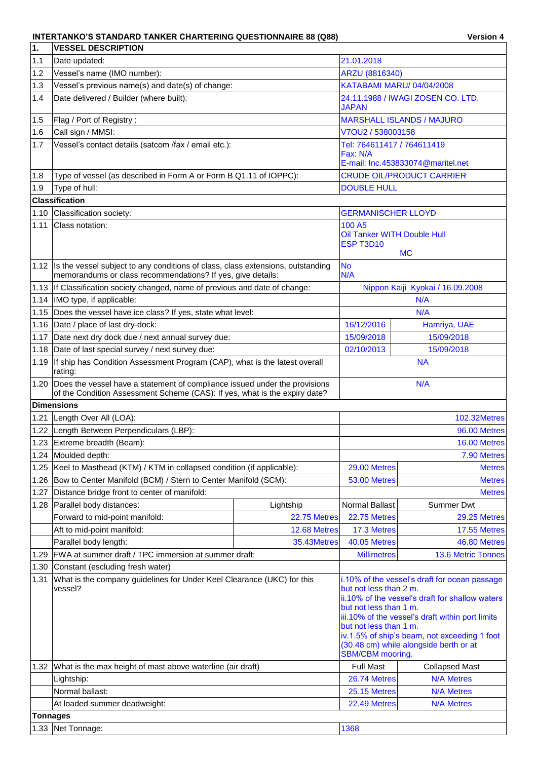## INTERTANKO'S STANDARD TANKER CHARTERING QUESTIONNAIRE 88 (Q88) Version 4

| 1.              | <b>VESSEL DESCRIPTION</b>                                                                                                                                |                                               |                                     |                                                  |  |
|-----------------|----------------------------------------------------------------------------------------------------------------------------------------------------------|-----------------------------------------------|-------------------------------------|--------------------------------------------------|--|
| 1.1             | Date updated:                                                                                                                                            |                                               | 21.01.2018                          |                                                  |  |
| 1.2             | Vessel's name (IMO number):                                                                                                                              |                                               | ARZU (8816340)                      |                                                  |  |
| 1.3             | Vessel's previous name(s) and date(s) of change:                                                                                                         | KATABAMI MARU/ 04/04/2008                     |                                     |                                                  |  |
| 1.4             | Date delivered / Builder (where built):                                                                                                                  |                                               | 24.11.1988 / IWAGI ZOSEN CO. LTD.   |                                                  |  |
|                 |                                                                                                                                                          | JAPAN                                         |                                     |                                                  |  |
| 1.5             | Flag / Port of Registry:                                                                                                                                 |                                               | <b>MARSHALL ISLANDS / MAJURO</b>    |                                                  |  |
| 1.6             | Call sign / MMSI:                                                                                                                                        |                                               | V7OU2 / 538003158                   |                                                  |  |
| 1.7             | Vessel's contact details (satcom /fax / email etc.):                                                                                                     |                                               | Tel: 764611417 / 764611419          |                                                  |  |
|                 |                                                                                                                                                          | Fax: N/A<br>E-mail: Inc.453833074@maritel.net |                                     |                                                  |  |
|                 |                                                                                                                                                          |                                               |                                     | <b>CRUDE OIL/PRODUCT CARRIER</b>                 |  |
| 1.8             | Type of vessel (as described in Form A or Form B Q1.11 of IOPPC):                                                                                        |                                               |                                     |                                                  |  |
| 1.9             | Type of hull:<br><b>Classification</b>                                                                                                                   |                                               | <b>DOUBLE HULL</b>                  |                                                  |  |
|                 |                                                                                                                                                          |                                               |                                     |                                                  |  |
| 1.10<br>1.11    | Classification society:<br>Class notation:                                                                                                               |                                               | <b>GERMANISCHER LLOYD</b><br>100 A5 |                                                  |  |
|                 |                                                                                                                                                          |                                               | Oil Tanker WITH Double Hull         |                                                  |  |
|                 |                                                                                                                                                          |                                               | ESP T3D10                           |                                                  |  |
|                 |                                                                                                                                                          |                                               |                                     | <b>MC</b>                                        |  |
|                 | 1.12 Is the vessel subject to any conditions of class, class extensions, outstanding                                                                     |                                               | <b>No</b>                           |                                                  |  |
|                 | memorandums or class recommendations? If yes, give details:                                                                                              |                                               | N/A                                 |                                                  |  |
|                 | 1.13   If Classification society changed, name of previous and date of change:                                                                           |                                               |                                     | Nippon Kaiji Kyokai / 16.09.2008                 |  |
|                 | 1.14 IMO type, if applicable:                                                                                                                            |                                               |                                     | N/A                                              |  |
| 1.15            | Does the vessel have ice class? If yes, state what level:                                                                                                |                                               |                                     | N/A                                              |  |
|                 | 1.16 Date / place of last dry-dock:                                                                                                                      |                                               | 16/12/2016                          | Hamriya, UAE                                     |  |
| 1.17            | Date next dry dock due / next annual survey due:                                                                                                         |                                               | 15/09/2018                          | 15/09/2018                                       |  |
| 1.18            | Date of last special survey / next survey due:                                                                                                           |                                               | 02/10/2013                          | 15/09/2018                                       |  |
| 1.19            | If ship has Condition Assessment Program (CAP), what is the latest overall<br>rating:                                                                    |                                               | <b>NA</b>                           |                                                  |  |
| 1.20            | Does the vessel have a statement of compliance issued under the provisions<br>of the Condition Assessment Scheme (CAS): If yes, what is the expiry date? |                                               |                                     | N/A                                              |  |
|                 | <b>Dimensions</b>                                                                                                                                        |                                               |                                     |                                                  |  |
| 1.21            | Length Over All (LOA):                                                                                                                                   |                                               |                                     | 102.32Metres                                     |  |
| 1.22            | Length Between Perpendiculars (LBP):                                                                                                                     |                                               |                                     | 96.00 Metres                                     |  |
|                 | 1.23 Extreme breadth (Beam):                                                                                                                             |                                               |                                     | 16.00 Metres                                     |  |
|                 | 1.24 Moulded depth:                                                                                                                                      |                                               |                                     | 7.90 Metres                                      |  |
| 1.25            | Keel to Masthead (KTM) / KTM in collapsed condition (if applicable):                                                                                     |                                               | 29.00 Metres                        | <b>Metres</b>                                    |  |
| 1.26            | Bow to Center Manifold (BCM) / Stern to Center Manifold (SCM):                                                                                           |                                               | 53.00 Metres                        | <b>Metres</b>                                    |  |
| 1.27            | Distance bridge front to center of manifold:                                                                                                             |                                               |                                     | <b>Metres</b>                                    |  |
| 1.28            | Parallel body distances:                                                                                                                                 | Lightship                                     | Normal Ballast                      | <b>Summer Dwt</b>                                |  |
|                 | Forward to mid-point manifold:                                                                                                                           | 22.75 Metres                                  | 22.75 Metres                        | 29.25 Metres                                     |  |
|                 | Aft to mid-point manifold:                                                                                                                               | 12.68 Metres                                  | 17.3 Metres                         | 17.55 Metres                                     |  |
|                 | Parallel body length:                                                                                                                                    | 35.43Metres                                   | 40.05 Metres                        | 46.80 Metres                                     |  |
| 1.29            | FWA at summer draft / TPC immersion at summer draft:                                                                                                     |                                               | <b>Millimetres</b>                  | 13.6 Metric Tonnes                               |  |
| 1.30            | Constant (escluding fresh water)                                                                                                                         |                                               |                                     |                                                  |  |
| 1.31            | What is the company guidelines for Under Keel Clearance (UKC) for this                                                                                   |                                               |                                     | i.10% of the vessel's draft for ocean passage    |  |
|                 | vessel?                                                                                                                                                  |                                               | but not less than 2 m.              |                                                  |  |
|                 |                                                                                                                                                          |                                               |                                     | ii.10% of the vessel's draft for shallow waters  |  |
|                 |                                                                                                                                                          |                                               | but not less than 1 m.              | iii.10% of the vessel's draft within port limits |  |
|                 |                                                                                                                                                          |                                               | but not less than 1 m.              |                                                  |  |
|                 |                                                                                                                                                          |                                               |                                     | iv.1.5% of ship's beam, not exceeding 1 foot     |  |
|                 |                                                                                                                                                          |                                               | SBM/CBM mooring.                    | (30.48 cm) while alongside berth or at           |  |
| 1.32            | What is the max height of mast above waterline (air draft)                                                                                               |                                               | <b>Full Mast</b>                    | <b>Collapsed Mast</b>                            |  |
|                 | Lightship:                                                                                                                                               |                                               | 26.74 Metres                        | <b>N/A Metres</b>                                |  |
|                 | Normal ballast:                                                                                                                                          |                                               | 25.15 Metres                        | <b>N/A Metres</b>                                |  |
|                 | At loaded summer deadweight:                                                                                                                             |                                               | 22.49 Metres                        | <b>N/A Metres</b>                                |  |
| <b>Tonnages</b> |                                                                                                                                                          |                                               |                                     |                                                  |  |
|                 | 1.33 Net Tonnage:                                                                                                                                        |                                               | 1368                                |                                                  |  |
|                 |                                                                                                                                                          |                                               |                                     |                                                  |  |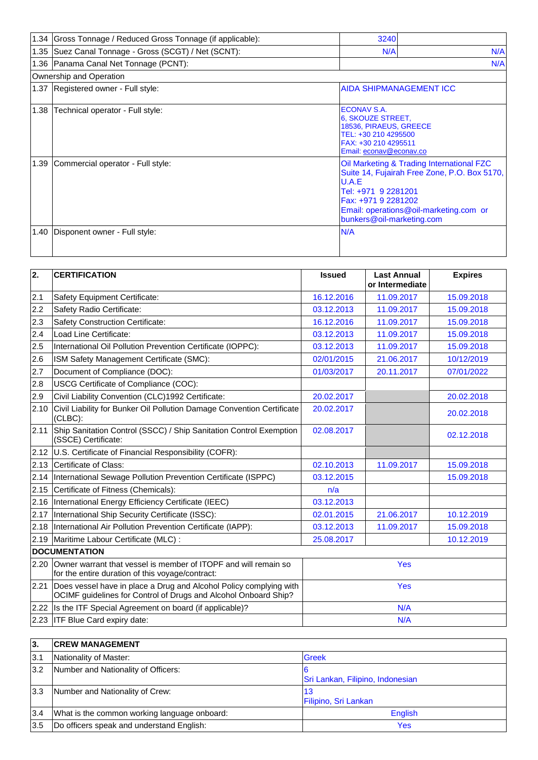|      | 1.34 Gross Tonnage / Reduced Gross Tonnage (if applicable): | 3240                                                                                                                                  |                                                                                                                                     |  |
|------|-------------------------------------------------------------|---------------------------------------------------------------------------------------------------------------------------------------|-------------------------------------------------------------------------------------------------------------------------------------|--|
|      | 1.35 Suez Canal Tonnage - Gross (SCGT) / Net (SCNT):<br>N/A |                                                                                                                                       |                                                                                                                                     |  |
|      | 1.36 Panama Canal Net Tonnage (PCNT):                       |                                                                                                                                       | N/A                                                                                                                                 |  |
|      | Ownership and Operation                                     |                                                                                                                                       |                                                                                                                                     |  |
|      | 1.37 Registered owner - Full style:                         |                                                                                                                                       | IAIDA SHIPMANAGEMENT ICC                                                                                                            |  |
| 1.38 | Technical operator - Full style:                            | ECONAV S.A.<br>6, SKOUZE STREET,<br>18536, PIRAEUS, GREECE<br>TEL: +30 210 4295500<br>FAX: +30 210 4295511<br>Email: econav@econav.co |                                                                                                                                     |  |
| 1.39 | Commercial operator - Full style:                           | U.A.E<br>Tel: +971 9 2281201<br>Fax: +971 9 2281202<br>bunkers@oil-marketing.com                                                      | Oil Marketing & Trading International FZC<br>Suite 14, Fujairah Free Zone, P.O. Box 5170,<br>Email: operations@oil-marketing.com or |  |
| 1.40 | Disponent owner - Full style:                               | N/A                                                                                                                                   |                                                                                                                                     |  |

| $\overline{2}$ . | <b>CERTIFICATION</b>                                                                                                                  | <b>Issued</b> | <b>Last Annual</b><br>or Intermediate | <b>Expires</b> |  |
|------------------|---------------------------------------------------------------------------------------------------------------------------------------|---------------|---------------------------------------|----------------|--|
| 2.1              | Safety Equipment Certificate:                                                                                                         | 16.12.2016    | 11.09.2017                            | 15.09.2018     |  |
| 2.2              | Safety Radio Certificate:                                                                                                             | 03.12.2013    | 11.09.2017                            | 15.09.2018     |  |
| 2.3              | <b>Safety Construction Certificate:</b>                                                                                               | 16.12.2016    | 11.09.2017                            | 15.09.2018     |  |
| 2.4              | Load Line Certificate:                                                                                                                | 03.12.2013    | 11.09.2017                            | 15.09.2018     |  |
| 2.5              | International Oil Pollution Prevention Certificate (IOPPC):                                                                           | 03.12.2013    | 11.09.2017                            | 15.09.2018     |  |
| 2.6              | ISM Safety Management Certificate (SMC):                                                                                              | 02/01/2015    | 21.06.2017                            | 10/12/2019     |  |
| 2.7              | Document of Compliance (DOC):                                                                                                         | 01/03/2017    | 20.11.2017                            | 07/01/2022     |  |
| 2.8              | USCG Certificate of Compliance (COC):                                                                                                 |               |                                       |                |  |
| 2.9              | Civil Liability Convention (CLC)1992 Certificate:                                                                                     | 20.02.2017    |                                       | 20.02.2018     |  |
| 2.10             | Civil Liability for Bunker Oil Pollution Damage Convention Certificate<br>(CLBC):                                                     | 20.02.2017    |                                       | 20.02.2018     |  |
| 2.11             | Ship Sanitation Control (SSCC) / Ship Sanitation Control Exemption<br>(SSCE) Certificate:                                             | 02.08.2017    |                                       | 02.12.2018     |  |
|                  | 2.12 U.S. Certificate of Financial Responsibility (COFR):                                                                             |               |                                       |                |  |
| 2.13             | Certificate of Class:                                                                                                                 | 02.10.2013    | 11.09.2017                            | 15.09.2018     |  |
| 2.14             | International Sewage Pollution Prevention Certificate (ISPPC)                                                                         | 03.12.2015    |                                       | 15.09.2018     |  |
| 2.15             | Certificate of Fitness (Chemicals):                                                                                                   | n/a           |                                       |                |  |
| 2.16             | International Energy Efficiency Certificate (IEEC)                                                                                    | 03.12.2013    |                                       |                |  |
| 2.17             | International Ship Security Certificate (ISSC):                                                                                       | 02.01.2015    | 21.06.2017                            | 10.12.2019     |  |
| 2.18             | International Air Pollution Prevention Certificate (IAPP):                                                                            | 03.12.2013    | 11.09.2017                            | 15.09.2018     |  |
| 2.19             | Maritime Labour Certificate (MLC) :                                                                                                   | 25.08.2017    |                                       | 10.12.2019     |  |
|                  | <b>DOCUMENTATION</b>                                                                                                                  |               |                                       |                |  |
| 2.20             | Owner warrant that vessel is member of ITOPF and will remain so<br>for the entire duration of this voyage/contract:                   |               | Yes                                   |                |  |
| 2.21             | Does vessel have in place a Drug and Alcohol Policy complying with<br>OCIMF guidelines for Control of Drugs and Alcohol Onboard Ship? | <b>Yes</b>    |                                       |                |  |
|                  | 2.22 Is the ITF Special Agreement on board (if applicable)?                                                                           |               | N/A                                   |                |  |
|                  | 2.23 ITF Blue Card expiry date:                                                                                                       |               | N/A                                   |                |  |

| l3.             | <b>CREW MANAGEMENT</b>                       |                                  |
|-----------------|----------------------------------------------|----------------------------------|
| $\mathsf{I}3.1$ | Nationality of Master:                       | <b>Greek</b>                     |
| 3.2             | Number and Nationality of Officers:          | Sri Lankan, Filipino, Indonesian |
| 3.3             | Number and Nationality of Crew:              | 13<br>Filipino, Sri Lankan       |
| 3.4             | What is the common working language onboard: | <b>English</b>                   |
| 3.5             | Do officers speak and understand English:    | Yes                              |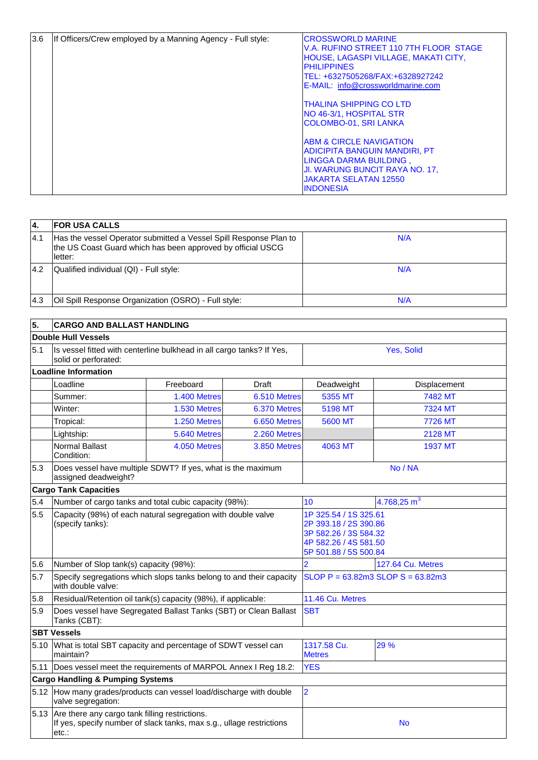| 3.6 | If Officers/Crew employed by a Manning Agency - Full style: | <b>CROSSWORLD MARINE</b><br>V.A. RUFINO STREET 110 7TH FLOOR STAGE<br>HOUSE, LAGASPI VILLAGE, MAKATI CITY,<br><b>PHILIPPINES</b><br>TEL: +6327505268/FAX:+6328927242<br>E-MAIL: info@crossworldmarine.com |
|-----|-------------------------------------------------------------|-----------------------------------------------------------------------------------------------------------------------------------------------------------------------------------------------------------|
|     |                                                             | <b>ITHALINA SHIPPING CO LTD</b><br><b>NO 46-3/1, HOSPITAL STR</b><br>COLOMBO-01, SRI LANKA                                                                                                                |
|     |                                                             | <b>ABM &amp; CIRCLE NAVIGATION</b><br><b>ADICIPITA BANGUIN MANDIRI, PT</b><br>LINGGA DARMA BUILDING,<br>JI. WARUNG BUNCIT RAYA NO. 17,<br><b>JAKARTA SELATAN 12550</b><br><b>INDONESIA</b>                |

| 14.  | <b>IFOR USA CALLS</b>                                                                                                                       |     |
|------|---------------------------------------------------------------------------------------------------------------------------------------------|-----|
| 4.1  | Has the vessel Operator submitted a Vessel Spill Response Plan to<br>the US Coast Guard which has been approved by official USCG<br>letter: | N/A |
| 4.2  | Qualified individual (QI) - Full style:                                                                                                     | N/A |
| l4.3 | Oil Spill Response Organization (OSRO) - Full style:                                                                                        | N/A |

| 5.   | <b>CARGO AND BALLAST HANDLING</b>                                                                                                   |              |              |                                                                                                                           |                          |  |  |
|------|-------------------------------------------------------------------------------------------------------------------------------------|--------------|--------------|---------------------------------------------------------------------------------------------------------------------------|--------------------------|--|--|
|      | <b>Double Hull Vessels</b>                                                                                                          |              |              |                                                                                                                           |                          |  |  |
| 5.1  | Is vessel fitted with centerline bulkhead in all cargo tanks? If Yes,<br>solid or perforated:                                       |              |              | Yes, Solid                                                                                                                |                          |  |  |
|      | <b>Loadline Information</b>                                                                                                         |              |              |                                                                                                                           |                          |  |  |
|      | Loadline                                                                                                                            | Freeboard    | Draft        | Deadweight                                                                                                                | Displacement             |  |  |
|      | Summer:                                                                                                                             | 1.400 Metres | 6.510 Metres | 5355 MT                                                                                                                   | 7482 MT                  |  |  |
|      | Winter:                                                                                                                             | 1.530 Metres | 6.370 Metres | 5198 MT                                                                                                                   | 7324 MT                  |  |  |
|      | Tropical:                                                                                                                           | 1.250 Metres | 6.650 Metres | 5600 MT                                                                                                                   | 7726 MT                  |  |  |
|      | Lightship:                                                                                                                          | 5.640 Metres | 2.260 Metres |                                                                                                                           | <b>2128 MT</b>           |  |  |
|      | <b>Normal Ballast</b><br>Condition:                                                                                                 | 4.050 Metres | 3.850 Metres | 4063 MT                                                                                                                   | <b>1937 MT</b>           |  |  |
| 5.3  | Does vessel have multiple SDWT? If yes, what is the maximum<br>assigned deadweight?                                                 |              |              | No / NA                                                                                                                   |                          |  |  |
|      | <b>Cargo Tank Capacities</b>                                                                                                        |              |              |                                                                                                                           |                          |  |  |
| 5.4  | Number of cargo tanks and total cubic capacity (98%):                                                                               |              |              | 10 <sup>1</sup>                                                                                                           | 4.768,25 $m3$            |  |  |
| 5.5  | Capacity (98%) of each natural segregation with double valve<br>(specify tanks):                                                    |              |              | 1P 325.54 / 1S 325.61<br>2P 393.18 / 2S 390.86<br>3P 582.26 / 3S 584.32<br>4P 582.26 / 4S 581.50<br>5P 501.88 / 5S 500.84 |                          |  |  |
| 5.6  | Number of Slop tank(s) capacity (98%):                                                                                              |              |              | $\overline{2}$                                                                                                            | <b>127.64 Cu. Metres</b> |  |  |
| 5.7  | Specify segregations which slops tanks belong to and their capacity<br>with double valve:                                           |              |              | $SLOP$ P = 63.82m3 SLOP S = 63.82m3                                                                                       |                          |  |  |
| 5.8  | Residual/Retention oil tank(s) capacity (98%), if applicable:                                                                       |              |              | 11.46 Cu. Metres                                                                                                          |                          |  |  |
| 5.9  | Does vessel have Segregated Ballast Tanks (SBT) or Clean Ballast<br>Tanks (CBT):                                                    |              |              | <b>SBT</b>                                                                                                                |                          |  |  |
|      | <b>SBT Vessels</b>                                                                                                                  |              |              |                                                                                                                           |                          |  |  |
| 5.10 | What is total SBT capacity and percentage of SDWT vessel can<br>maintain?                                                           |              |              | 1317.58 Cu.<br><b>Metres</b>                                                                                              | 29 %                     |  |  |
| 5.11 | Does vessel meet the requirements of MARPOL Annex I Reg 18.2:                                                                       |              |              | <b>YES</b>                                                                                                                |                          |  |  |
|      | <b>Cargo Handling &amp; Pumping Systems</b>                                                                                         |              |              |                                                                                                                           |                          |  |  |
|      | 5.12 How many grades/products can vessel load/discharge with double<br>valve segregation:                                           |              |              | $\overline{2}$                                                                                                            |                          |  |  |
|      | 5.13 Are there any cargo tank filling restrictions.<br>If yes, specify number of slack tanks, max s.g., ullage restrictions<br>etc∴ |              |              |                                                                                                                           | <b>No</b>                |  |  |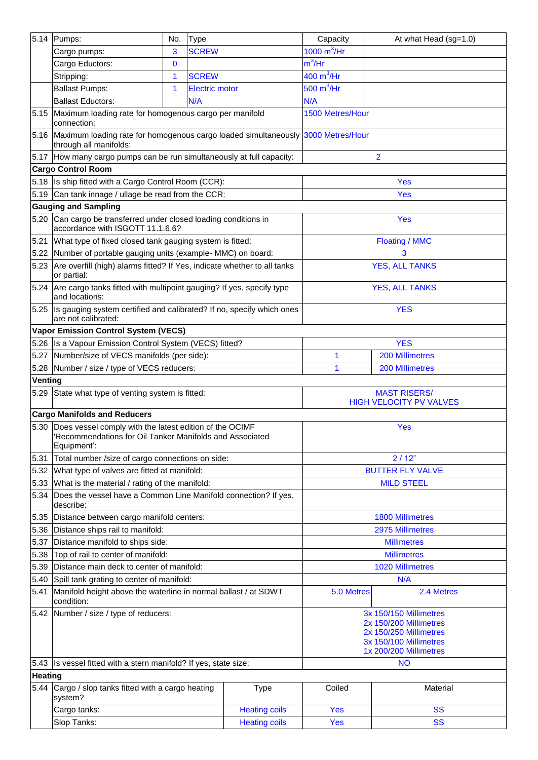|                | 5.14 Pumps:                                                                                                                             | No.          | <b>Type</b>           |                      | Capacity                                                                                                                       | At what Head (sg=1.0)   |  |
|----------------|-----------------------------------------------------------------------------------------------------------------------------------------|--------------|-----------------------|----------------------|--------------------------------------------------------------------------------------------------------------------------------|-------------------------|--|
|                | Cargo pumps:                                                                                                                            | 3            | <b>SCREW</b>          |                      | $1000 \text{ m}^3/\text{Hr}$                                                                                                   |                         |  |
|                | Cargo Eductors:                                                                                                                         | $\mathbf{0}$ |                       |                      | $m^3$ /Hr                                                                                                                      |                         |  |
|                | Stripping:                                                                                                                              | 1            | <b>SCREW</b>          |                      | 400 $m^3$ /Hr                                                                                                                  |                         |  |
|                | <b>Ballast Pumps:</b>                                                                                                                   | 1            | <b>Electric motor</b> |                      | 500 $m^3$ /Hr                                                                                                                  |                         |  |
|                | <b>Ballast Eductors:</b>                                                                                                                |              | N/A                   |                      | N/A                                                                                                                            |                         |  |
| 5.15           | Maximum loading rate for homogenous cargo per manifold<br>connection:                                                                   |              |                       |                      | 1500 Metres/Hour                                                                                                               |                         |  |
|                | 5.16 Maximum loading rate for homogenous cargo loaded simultaneously 3000 Metres/Hour<br>through all manifolds:                         |              |                       |                      |                                                                                                                                |                         |  |
|                | 5.17 How many cargo pumps can be run simultaneously at full capacity:                                                                   |              |                       |                      |                                                                                                                                | $\overline{2}$          |  |
|                | <b>Cargo Control Room</b>                                                                                                               |              |                       |                      |                                                                                                                                |                         |  |
|                | 5.18 Is ship fitted with a Cargo Control Room (CCR):                                                                                    |              |                       |                      |                                                                                                                                | <b>Yes</b>              |  |
|                | 5.19 Can tank innage / ullage be read from the CCR:                                                                                     |              |                       |                      |                                                                                                                                | Yes                     |  |
|                | <b>Gauging and Sampling</b>                                                                                                             |              |                       |                      |                                                                                                                                |                         |  |
| 5.20           | Can cargo be transferred under closed loading conditions in<br>accordance with ISGOTT 11.1.6.6?                                         |              |                       |                      |                                                                                                                                | <b>Yes</b>              |  |
| 5.21           | What type of fixed closed tank gauging system is fitted:                                                                                |              |                       |                      |                                                                                                                                | <b>Floating / MMC</b>   |  |
| 5.22           | Number of portable gauging units (example- MMC) on board:                                                                               |              |                       |                      |                                                                                                                                | 3                       |  |
|                | 5.23 Are overfill (high) alarms fitted? If Yes, indicate whether to all tanks<br>or partial:                                            |              |                       |                      |                                                                                                                                | <b>YES, ALL TANKS</b>   |  |
|                | 5.24 Are cargo tanks fitted with multipoint gauging? If yes, specify type<br>and locations:                                             |              |                       |                      |                                                                                                                                | <b>YES, ALL TANKS</b>   |  |
|                | 5.25  Is gauging system certified and calibrated? If no, specify which ones<br>are not calibrated:                                      |              |                       |                      |                                                                                                                                | <b>YES</b>              |  |
|                | <b>Vapor Emission Control System (VECS)</b>                                                                                             |              |                       |                      |                                                                                                                                |                         |  |
|                | 5.26 Is a Vapour Emission Control System (VECS) fitted?                                                                                 |              |                       |                      |                                                                                                                                | <b>YES</b>              |  |
| 5.27           | Number/size of VECS manifolds (per side):                                                                                               |              |                       |                      | 1                                                                                                                              | <b>200 Millimetres</b>  |  |
|                | 5.28 Number / size / type of VECS reducers:                                                                                             |              |                       |                      | 1                                                                                                                              | <b>200 Millimetres</b>  |  |
| Venting        |                                                                                                                                         |              |                       |                      |                                                                                                                                |                         |  |
|                | 5.29 State what type of venting system is fitted:                                                                                       |              |                       |                      | <b>MAST RISERS/</b><br><b>HIGH VELOCITY PV VALVES</b>                                                                          |                         |  |
|                | <b>Cargo Manifolds and Reducers</b>                                                                                                     |              |                       |                      |                                                                                                                                |                         |  |
|                | 5.30 Does vessel comply with the latest edition of the OCIMF<br>'Recommendations for Oil Tanker Manifolds and Associated<br>Equipment': |              |                       |                      | <b>Yes</b>                                                                                                                     |                         |  |
| 5.31           | Total number /size of cargo connections on side:                                                                                        |              |                       |                      |                                                                                                                                | 2/12"                   |  |
| 5.32           | What type of valves are fitted at manifold:                                                                                             |              |                       |                      |                                                                                                                                | <b>BUTTER FLY VALVE</b> |  |
| 5.33           | What is the material / rating of the manifold:                                                                                          |              |                       |                      | <b>MILD STEEL</b>                                                                                                              |                         |  |
| 5.34           | Does the vessel have a Common Line Manifold connection? If yes,<br>describe:                                                            |              |                       |                      |                                                                                                                                |                         |  |
| 5.35           | Distance between cargo manifold centers:                                                                                                |              |                       |                      |                                                                                                                                | <b>1800 Millimetres</b> |  |
| 5.36           | Distance ships rail to manifold:                                                                                                        |              |                       |                      | 2975 Millimetres                                                                                                               |                         |  |
| 5.37           | Distance manifold to ships side:                                                                                                        |              |                       |                      | <b>Millimetres</b>                                                                                                             |                         |  |
| 5.38           | Top of rail to center of manifold:                                                                                                      |              |                       |                      |                                                                                                                                | <b>Millimetres</b>      |  |
| 5.39           | Distance main deck to center of manifold:                                                                                               |              |                       |                      |                                                                                                                                | <b>1020 Millimetres</b> |  |
| 5.40           | Spill tank grating to center of manifold:                                                                                               |              |                       |                      |                                                                                                                                | N/A                     |  |
| 5.41           | Manifold height above the waterline in normal ballast / at SDWT<br>condition:                                                           |              |                       |                      | 5.0 Metres                                                                                                                     | 2.4 Metres              |  |
|                | 5.42 Number / size / type of reducers:                                                                                                  |              |                       |                      | 3x 150/150 Millimetres<br>2x 150/200 Millimetres<br>2x 150/250 Millimetres<br>3x 150/100 Millimetres<br>1x 200/200 Millimetres |                         |  |
|                | 5.43 Is vessel fitted with a stern manifold? If yes, state size:                                                                        |              |                       |                      | <b>NO</b>                                                                                                                      |                         |  |
| <b>Heating</b> |                                                                                                                                         |              |                       |                      |                                                                                                                                |                         |  |
|                | 5.44 Cargo / slop tanks fitted with a cargo heating<br>system?                                                                          |              |                       | <b>Type</b>          | Coiled                                                                                                                         | Material                |  |
|                | Cargo tanks:                                                                                                                            |              |                       | <b>Heating coils</b> | <b>Yes</b>                                                                                                                     | <b>SS</b>               |  |
|                | Slop Tanks:                                                                                                                             |              |                       | <b>Heating coils</b> | Yes                                                                                                                            | <b>SS</b>               |  |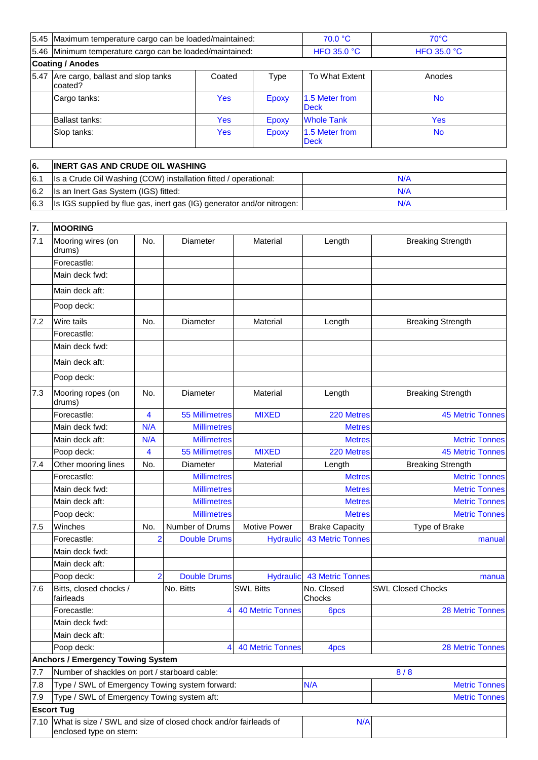| 5.45 Maximum temperature cargo can be loaded/maintained: |            | 70.0 °C        | $70^{\circ}$ C                |                    |  |  |
|----------------------------------------------------------|------------|----------------|-------------------------------|--------------------|--|--|
| 5.46 Minimum temperature cargo can be loaded/maintained: |            |                | <b>HFO 35.0 °C</b>            | <b>HFO 35.0 °C</b> |  |  |
| <b>Coating / Anodes</b>                                  |            |                |                               |                    |  |  |
| 5.47 Are cargo, ballast and slop tanks<br>coated?        | Coated     | To What Extent | Anodes                        |                    |  |  |
| Cargo tanks:                                             | <b>Yes</b> | Epoxy          | 1.5 Meter from<br><b>Deck</b> | <b>No</b>          |  |  |
| Ballast tanks:                                           | <b>Yes</b> | Epoxy          | <b>Whole Tank</b>             | Yes                |  |  |
| Slop tanks:                                              | <b>Yes</b> | Epoxy          | 1.5 Meter from<br><b>Deck</b> | <b>No</b>          |  |  |

| 6   | <b>INERT GAS AND CRUDE OIL WASHING</b>                                       |     |
|-----|------------------------------------------------------------------------------|-----|
| 6.1 | Is a Crude Oil Washing (COW) installation fitted / operational:              | N/A |
|     | 6.2 Is an Inert Gas System (IGS) fitted:                                     | N/A |
|     | 6.3   Is IGS supplied by flue gas, inert gas (IG) generator and/or nitrogen: | N/A |

| 7.   | <b>MOORING</b>                                                                             |                         |                       |                         |                         |                          |
|------|--------------------------------------------------------------------------------------------|-------------------------|-----------------------|-------------------------|-------------------------|--------------------------|
| 7.1  | Mooring wires (on<br>drums)                                                                | No.                     | Diameter              | Material                | Length                  | <b>Breaking Strength</b> |
|      | Forecastle:                                                                                |                         |                       |                         |                         |                          |
|      | Main deck fwd:                                                                             |                         |                       |                         |                         |                          |
|      | Main deck aft:                                                                             |                         |                       |                         |                         |                          |
|      | Poop deck:                                                                                 |                         |                       |                         |                         |                          |
| 7.2  | Wire tails                                                                                 | No.                     | Diameter              | Material                | Length                  | <b>Breaking Strength</b> |
|      | Forecastle:                                                                                |                         |                       |                         |                         |                          |
|      | Main deck fwd:                                                                             |                         |                       |                         |                         |                          |
|      | Main deck aft:                                                                             |                         |                       |                         |                         |                          |
|      | Poop deck:                                                                                 |                         |                       |                         |                         |                          |
| 7.3  | Mooring ropes (on<br>drums)                                                                | No.                     | Diameter              | Material                | Length                  | <b>Breaking Strength</b> |
|      | Forecastle:                                                                                | 4                       | <b>55 Millimetres</b> | <b>MIXED</b>            | 220 Metres              | <b>45 Metric Tonnes</b>  |
|      | Main deck fwd:                                                                             | N/A                     | <b>Millimetres</b>    |                         | <b>Metres</b>           |                          |
|      | Main deck aft:                                                                             | N/A                     | <b>Millimetres</b>    |                         | <b>Metres</b>           | <b>Metric Tonnes</b>     |
|      | Poop deck:                                                                                 | $\overline{\mathbf{4}}$ | <b>55 Millimetres</b> | <b>MIXED</b>            | 220 Metres              | <b>45 Metric Tonnes</b>  |
| 7.4  | Other mooring lines                                                                        | No.                     | <b>Diameter</b>       | Material                | Length                  | <b>Breaking Strength</b> |
|      | Forecastle:                                                                                |                         | <b>Millimetres</b>    |                         | <b>Metres</b>           | <b>Metric Tonnes</b>     |
|      | Main deck fwd:                                                                             |                         | <b>Millimetres</b>    |                         | <b>Metres</b>           | <b>Metric Tonnes</b>     |
|      | Main deck aft:                                                                             |                         | <b>Millimetres</b>    |                         | <b>Metres</b>           | <b>Metric Tonnes</b>     |
|      | Poop deck:                                                                                 |                         | <b>Millimetres</b>    |                         | <b>Metres</b>           | <b>Metric Tonnes</b>     |
| 7.5  | Winches                                                                                    | No.                     | Number of Drums       | Motive Power            | <b>Brake Capacity</b>   | Type of Brake            |
|      | Forecastle:                                                                                | $\overline{2}$          | <b>Double Drums</b>   | <b>Hydraulic</b>        | <b>43 Metric Tonnes</b> | manual                   |
|      | Main deck fwd:                                                                             |                         |                       |                         |                         |                          |
|      | Main deck aft:                                                                             |                         |                       |                         |                         |                          |
|      | Poop deck:                                                                                 | $\overline{2}$          | <b>Double Drums</b>   | <b>Hydraulic</b>        | <b>43 Metric Tonnes</b> | manua                    |
| 7.6  | Bitts, closed chocks /<br>fairleads                                                        |                         | No. Bitts             | <b>SWL Bitts</b>        | No. Closed<br>Chocks    | <b>SWL Closed Chocks</b> |
|      | Forecastle:                                                                                |                         | $\overline{4}$        | <b>40 Metric Tonnes</b> | 6pcs                    | <b>28 Metric Tonnes</b>  |
|      | Main deck fwd:                                                                             |                         |                       |                         |                         |                          |
|      | Main deck aft:                                                                             |                         |                       |                         |                         |                          |
|      | Poop deck:                                                                                 |                         | 4                     | <b>40 Metric Tonnes</b> | 4 <sub>pcs</sub>        | <b>28 Metric Tonnes</b>  |
|      | <b>Anchors / Emergency Towing System</b>                                                   |                         |                       |                         |                         |                          |
| 7.7  | Number of shackles on port / starboard cable:                                              |                         |                       |                         |                         | 8/8                      |
| 7.8  | Type / SWL of Emergency Towing system forward:                                             |                         |                       |                         | N/A                     | <b>Metric Tonnes</b>     |
| 7.9  | Type / SWL of Emergency Towing system aft:                                                 |                         |                       |                         |                         | <b>Metric Tonnes</b>     |
|      | <b>Escort Tug</b>                                                                          |                         |                       |                         |                         |                          |
| 7.10 | What is size / SWL and size of closed chock and/or fairleads of<br>enclosed type on stern: |                         |                       |                         | N/A                     |                          |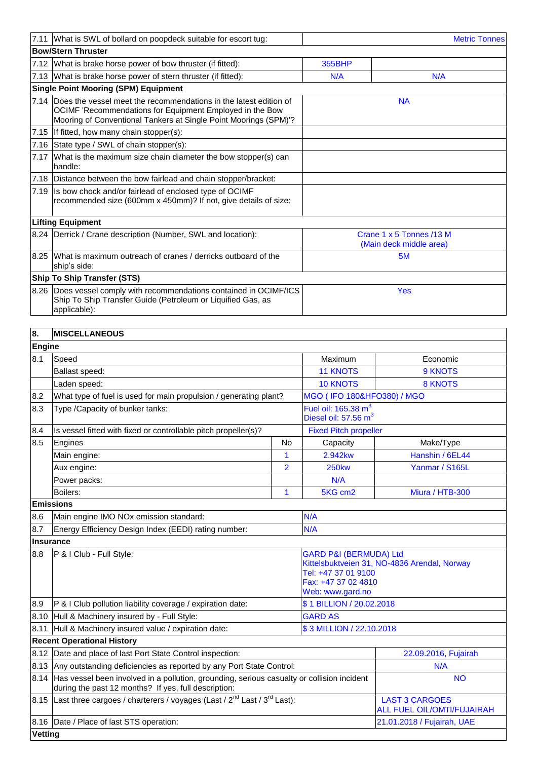|                  | 7.11 What is SWL of bollard on poopdeck suitable for escort tug:                                                                                                                                       |    |                                                                    | <b>Metric Tonnes</b>                                |  |  |  |
|------------------|--------------------------------------------------------------------------------------------------------------------------------------------------------------------------------------------------------|----|--------------------------------------------------------------------|-----------------------------------------------------|--|--|--|
|                  | <b>Bow/Stern Thruster</b>                                                                                                                                                                              |    |                                                                    |                                                     |  |  |  |
|                  | 7.12 What is brake horse power of bow thruster (if fitted):                                                                                                                                            |    | <b>355BHP</b>                                                      |                                                     |  |  |  |
|                  | 7.13 What is brake horse power of stern thruster (if fitted):                                                                                                                                          |    | N/A                                                                | N/A                                                 |  |  |  |
|                  | <b>Single Point Mooring (SPM) Equipment</b>                                                                                                                                                            |    |                                                                    |                                                     |  |  |  |
|                  | 7.14 Does the vessel meet the recommendations in the latest edition of<br>OCIMF 'Recommendations for Equipment Employed in the Bow<br>Mooring of Conventional Tankers at Single Point Moorings (SPM)'? |    |                                                                    | <b>NA</b>                                           |  |  |  |
|                  | 7.15 If fitted, how many chain stopper(s):                                                                                                                                                             |    |                                                                    |                                                     |  |  |  |
|                  | 7.16 State type / SWL of chain stopper(s):                                                                                                                                                             |    |                                                                    |                                                     |  |  |  |
| 7.17             | What is the maximum size chain diameter the bow stopper(s) can<br>handle:                                                                                                                              |    |                                                                    |                                                     |  |  |  |
|                  | 7.18 Distance between the bow fairlead and chain stopper/bracket:                                                                                                                                      |    |                                                                    |                                                     |  |  |  |
| 7.19             | Is bow chock and/or fairlead of enclosed type of OCIMF<br>recommended size (600mm x 450mm)? If not, give details of size:                                                                              |    |                                                                    |                                                     |  |  |  |
|                  | <b>Lifting Equipment</b>                                                                                                                                                                               |    |                                                                    |                                                     |  |  |  |
|                  | 8.24 Derrick / Crane description (Number, SWL and location):                                                                                                                                           |    |                                                                    | Crane 1 x 5 Tonnes /13 M<br>(Main deck middle area) |  |  |  |
| 8.25             | What is maximum outreach of cranes / derricks outboard of the<br>ship's side:                                                                                                                          |    |                                                                    | 5M                                                  |  |  |  |
|                  | <b>Ship To Ship Transfer (STS)</b>                                                                                                                                                                     |    |                                                                    |                                                     |  |  |  |
|                  | 8.26 Does vessel comply with recommendations contained in OCIMF/ICS<br>Ship To Ship Transfer Guide (Petroleum or Liquified Gas, as<br>applicable):                                                     |    |                                                                    | <b>Yes</b>                                          |  |  |  |
|                  |                                                                                                                                                                                                        |    |                                                                    |                                                     |  |  |  |
| 8.               | <b>MISCELLANEOUS</b>                                                                                                                                                                                   |    |                                                                    |                                                     |  |  |  |
| Engine           |                                                                                                                                                                                                        |    |                                                                    |                                                     |  |  |  |
| 8.1              | Speed                                                                                                                                                                                                  |    | Maximum                                                            | Economic                                            |  |  |  |
|                  | Ballast speed:                                                                                                                                                                                         |    | <b>11 KNOTS</b>                                                    | 9 KNOTS                                             |  |  |  |
|                  | Laden speed:                                                                                                                                                                                           |    | <b>10 KNOTS</b><br><b>8 KNOTS</b>                                  |                                                     |  |  |  |
| 8.2              | What type of fuel is used for main propulsion / generating plant?                                                                                                                                      |    | MGO (IFO 180&HFO380) / MGO                                         |                                                     |  |  |  |
| 8.3              | Type / Capacity of bunker tanks:                                                                                                                                                                       |    | Fuel oil: $165.38 \text{ m}^3$<br>Diesel oil: 57.56 m <sup>3</sup> |                                                     |  |  |  |
| 8.4              | Is vessel fitted with fixed or controllable pitch propeller(s)?                                                                                                                                        |    | <b>Fixed Pitch propeller</b>                                       |                                                     |  |  |  |
| 8.5              | Engines                                                                                                                                                                                                | No | Capacity                                                           | Make/Type                                           |  |  |  |
|                  | Main engine:                                                                                                                                                                                           | 1  | 2.942kw                                                            | Hanshin / 6EL44                                     |  |  |  |
|                  | Aux engine:                                                                                                                                                                                            | 2  | <b>250kw</b>                                                       | Yanmar / S165L                                      |  |  |  |
|                  | Power packs:                                                                                                                                                                                           |    | N/A                                                                |                                                     |  |  |  |
|                  | Boilers:                                                                                                                                                                                               | 1  | 5KG cm2                                                            | Miura / HTB-300                                     |  |  |  |
|                  | <b>Emissions</b>                                                                                                                                                                                       |    |                                                                    |                                                     |  |  |  |
| 8.6              | Main engine IMO NOx emission standard:                                                                                                                                                                 |    | N/A                                                                |                                                     |  |  |  |
| 8.7              | Energy Efficiency Design Index (EEDI) rating number:                                                                                                                                                   |    | N/A                                                                |                                                     |  |  |  |
| <b>Insurance</b> |                                                                                                                                                                                                        |    |                                                                    |                                                     |  |  |  |
| 8.8              | P & I Club - Full Style:<br><b>GARD P&amp;I (BERMUDA) Ltd</b><br>Kittelsbuktveien 31, NO-4836 Arendal, Norway<br>Tel: +47 37 01 9100<br>Fax: +47 37 02 4810<br>Web: www.gard.no                        |    |                                                                    |                                                     |  |  |  |
| 8.9              | P & I Club pollution liability coverage / expiration date:                                                                                                                                             |    | \$1 BILLION / 20.02.2018                                           |                                                     |  |  |  |
| 8.10             | Hull & Machinery insured by - Full Style:                                                                                                                                                              |    | <b>GARD AS</b>                                                     |                                                     |  |  |  |
| 8.11             | Hull & Machinery insured value / expiration date:                                                                                                                                                      |    | \$3 MILLION / 22.10.2018                                           |                                                     |  |  |  |
|                  | <b>Recent Operational History</b>                                                                                                                                                                      |    |                                                                    |                                                     |  |  |  |
| 8.12             | Date and place of last Port State Control inspection:                                                                                                                                                  |    |                                                                    | 22.09.2016, Fujairah                                |  |  |  |
|                  | 8.13 Any outstanding deficiencies as reported by any Port State Control:                                                                                                                               |    |                                                                    | N/A                                                 |  |  |  |
| 8.14             | Has vessel been involved in a pollution, grounding, serious casualty or collision incident<br>during the past 12 months? If yes, full description:                                                     |    | <b>NO</b>                                                          |                                                     |  |  |  |
|                  | 8.15 Last three cargoes / charterers / voyages (Last / $2^{nd}$ Last / $3^{rd}$ Last):                                                                                                                 |    |                                                                    | <b>LAST 3 CARGOES</b><br>ALL FUEL OIL/OMTI/FUJAIRAH |  |  |  |
|                  | 8.16   Date / Place of last STS operation:                                                                                                                                                             |    |                                                                    | 21.01.2018 / Fujairah, UAE                          |  |  |  |
| Vetting          |                                                                                                                                                                                                        |    |                                                                    |                                                     |  |  |  |